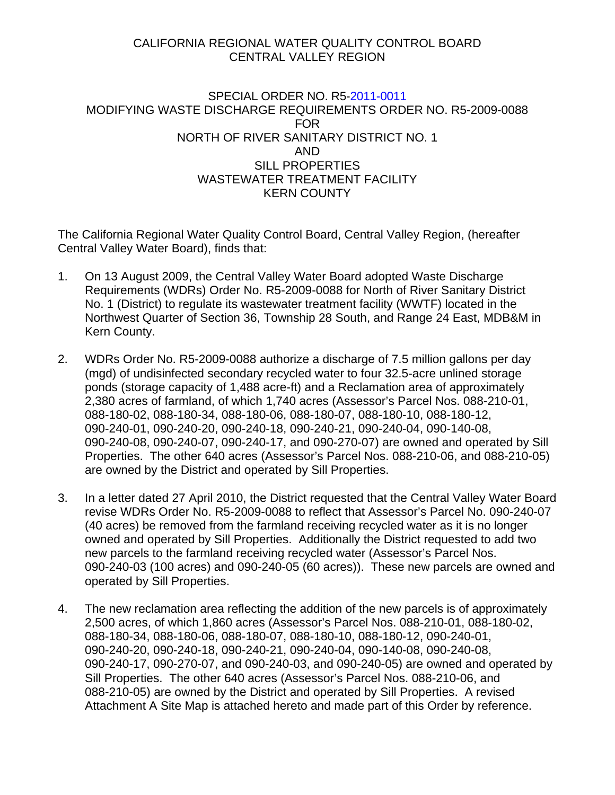## CALIFORNIA REGIONAL WATER QUALITY CONTROL BOARD CENTRAL VALLEY REGION

## SPECIAL ORDER NO. R5-2011-0011 MODIFYING WASTE DISCHARGE REQUIREMENTS ORDER NO. R5-2009-0088 FOR NORTH OF RIVER SANITARY DISTRICT NO. 1 AND SILL PROPERTIES WASTEWATER TREATMENT FACILITY KERN COUNTY

The California Regional Water Quality Control Board, Central Valley Region, (hereafter Central Valley Water Board), finds that:

- 1. On 13 August 2009, the Central Valley Water Board adopted Waste Discharge Requirements (WDRs) Order No. R5-2009-0088 for North of River Sanitary District No. 1 (District) to regulate its wastewater treatment facility (WWTF) located in the Northwest Quarter of Section 36, Township 28 South, and Range 24 East, MDB&M in Kern County.
- 2. WDRs Order No. R5-2009-0088 authorize a discharge of 7.5 million gallons per day (mgd) of undisinfected secondary recycled water to four 32.5-acre unlined storage ponds (storage capacity of 1,488 acre-ft) and a Reclamation area of approximately 2,380 acres of farmland, of which 1,740 acres (Assessor's Parcel Nos. 088-210-01, 088-180-02, 088-180-34, 088-180-06, 088-180-07, 088-180-10, 088-180-12, 090-240-01, 090-240-20, 090-240-18, 090-240-21, 090-240-04, 090-140-08, 090-240-08, 090-240-07, 090-240-17, and 090-270-07) are owned and operated by Sill Properties. The other 640 acres (Assessor's Parcel Nos. 088-210-06, and 088-210-05) are owned by the District and operated by Sill Properties.
- 3. In a letter dated 27 April 2010, the District requested that the Central Valley Water Board revise WDRs Order No. R5-2009-0088 to reflect that Assessor's Parcel No. 090-240-07 (40 acres) be removed from the farmland receiving recycled water as it is no longer owned and operated by Sill Properties. Additionally the District requested to add two new parcels to the farmland receiving recycled water (Assessor's Parcel Nos. 090-240-03 (100 acres) and 090-240-05 (60 acres)). These new parcels are owned and operated by Sill Properties.
- 4. The new reclamation area reflecting the addition of the new parcels is of approximately 2,500 acres, of which 1,860 acres (Assessor's Parcel Nos. 088-210-01, 088-180-02, 088-180-34, 088-180-06, 088-180-07, 088-180-10, 088-180-12, 090-240-01, 090-240-20, 090-240-18, 090-240-21, 090-240-04, 090-140-08, 090-240-08, 090-240-17, 090-270-07, and 090-240-03, and 090-240-05) are owned and operated by Sill Properties. The other 640 acres (Assessor's Parcel Nos. 088-210-06, and 088-210-05) are owned by the District and operated by Sill Properties. A revised Attachment A Site Map is attached hereto and made part of this Order by reference.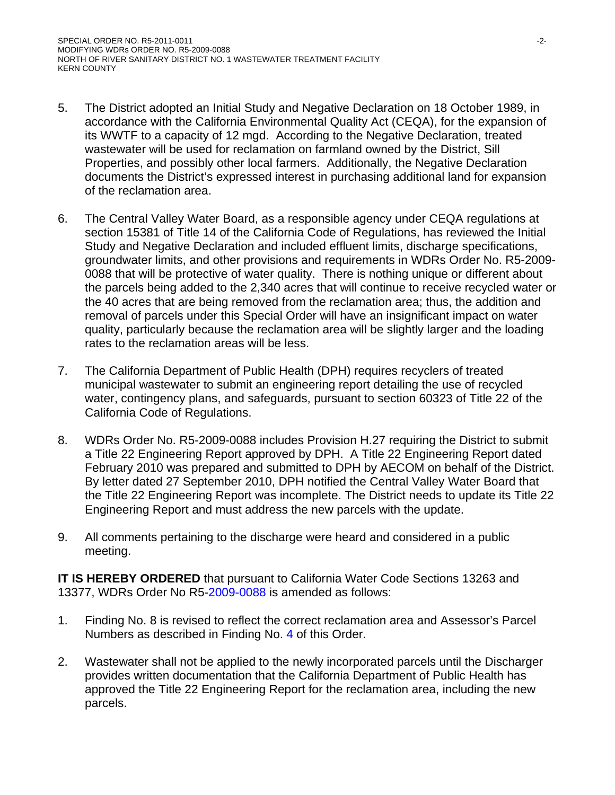- 5. The District adopted an Initial Study and Negative Declaration on 18 October 1989, in accordance with the California Environmental Quality Act (CEQA), for the expansion of its WWTF to a capacity of 12 mgd. According to the Negative Declaration, treated wastewater will be used for reclamation on farmland owned by the District, Sill Properties, and possibly other local farmers. Additionally, the Negative Declaration documents the District's expressed interest in purchasing additional land for expansion of the reclamation area.
- 6. The Central Valley Water Board, as a responsible agency under CEQA regulations at section 15381 of Title 14 of the California Code of Regulations, has reviewed the Initial Study and Negative Declaration and included effluent limits, discharge specifications, groundwater limits, and other provisions and requirements in WDRs Order No. R5-2009- 0088 that will be protective of water quality. There is nothing unique or different about the parcels being added to the 2,340 acres that will continue to receive recycled water or the 40 acres that are being removed from the reclamation area; thus, the addition and removal of parcels under this Special Order will have an insignificant impact on water quality, particularly because the reclamation area will be slightly larger and the loading rates to the reclamation areas will be less.
- 7. The California Department of Public Health (DPH) requires recyclers of treated municipal wastewater to submit an engineering report detailing the use of recycled water, contingency plans, and safeguards, pursuant to section 60323 of Title 22 of the California Code of Regulations.
- 8. WDRs Order No. R5-2009-0088 includes Provision H.27 requiring the District to submit a Title 22 Engineering Report approved by DPH. A Title 22 Engineering Report dated February 2010 was prepared and submitted to DPH by AECOM on behalf of the District. By letter dated 27 September 2010, DPH notified the Central Valley Water Board that the Title 22 Engineering Report was incomplete. The District needs to update its Title 22 Engineering Report and must address the new parcels with the update.
- 9. All comments pertaining to the discharge were heard and considered in a public meeting.

**IT IS HEREBY ORDERED** that pursuant to California Water Code Sections 13263 and 13377, WDRs Order No R5-2009-0088 is amended as follows:

- 1. Finding No. 8 is revised to reflect the correct reclamation area and Assessor's Parcel Numbers as described in Finding No. 4 of this Order.
- 2. Wastewater shall not be applied to the newly incorporated parcels until the Discharger provides written documentation that the California Department of Public Health has approved the Title 22 Engineering Report for the reclamation area, including the new parcels.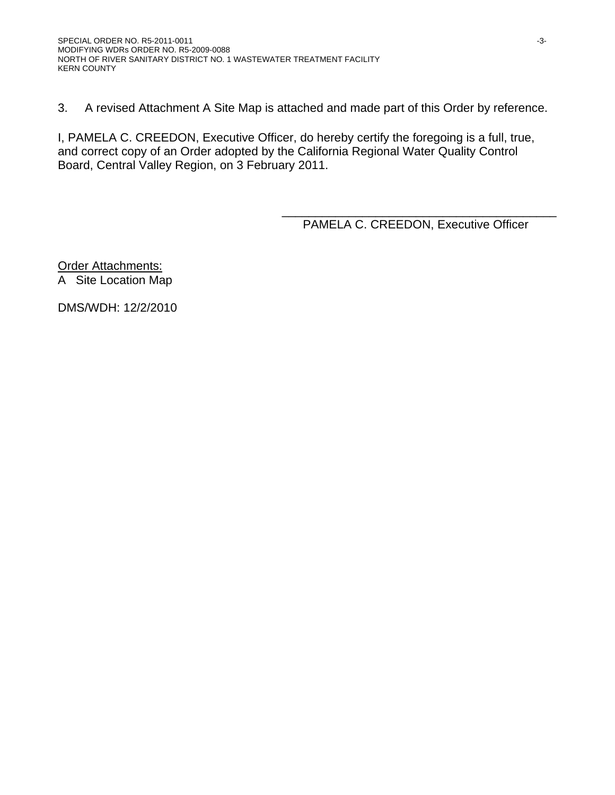3. A revised Attachment A Site Map is attached and made part of this Order by reference.

I, PAMELA C. CREEDON, Executive Officer, do hereby certify the foregoing is a full, true, and correct copy of an Order adopted by the California Regional Water Quality Control Board, Central Valley Region, on 3 February 2011.

> \_\_\_\_\_\_\_\_\_\_\_\_\_\_\_\_\_\_\_\_\_\_\_\_\_\_\_\_\_\_\_\_\_\_\_\_\_\_\_\_\_ PAMELA C. CREEDON, Executive Officer

**Order Attachments:** A Site Location Map

DMS/WDH: 12/2/2010